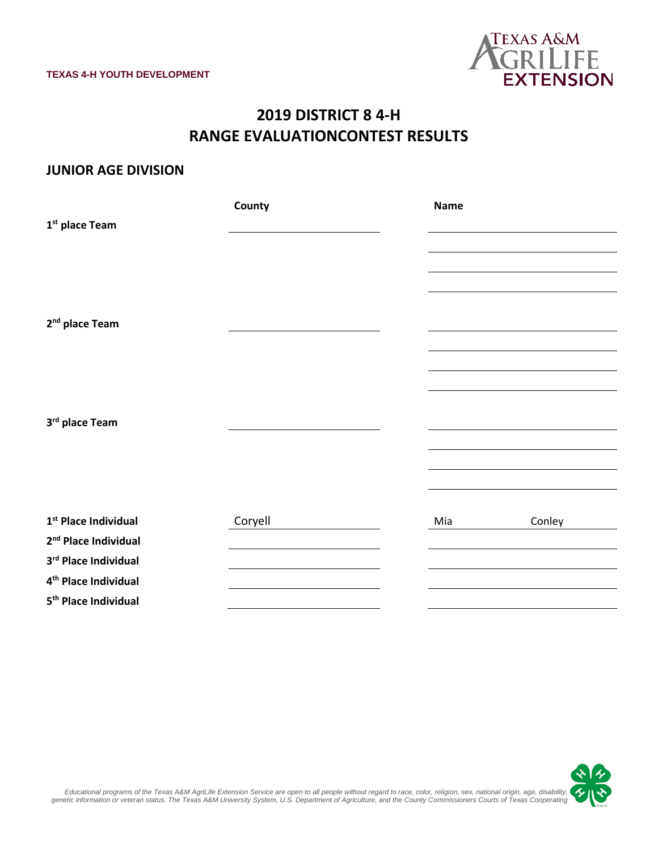

# **2019 DISTRICT 8 4-H RANGE EVALUATIONCONTEST RESULTS**

#### **JUNIOR AGE DIVISION**

|                                  | County  | <b>Name</b>   |
|----------------------------------|---------|---------------|
| 1 <sup>st</sup> place Team       |         |               |
|                                  |         |               |
|                                  |         |               |
|                                  |         |               |
|                                  |         |               |
| 2 <sup>nd</sup> place Team       |         |               |
|                                  |         |               |
|                                  |         |               |
|                                  |         |               |
|                                  |         |               |
| 3rd place Team                   |         |               |
|                                  |         |               |
|                                  |         |               |
|                                  |         |               |
|                                  |         |               |
| 1 <sup>st</sup> Place Individual | Coryell | Mia<br>Conley |
| 2 <sup>nd</sup> Place Individual |         |               |
| 3rd Place Individual             |         |               |
| 4 <sup>th</sup> Place Individual |         |               |
| 5 <sup>th</sup> Place Individual |         |               |

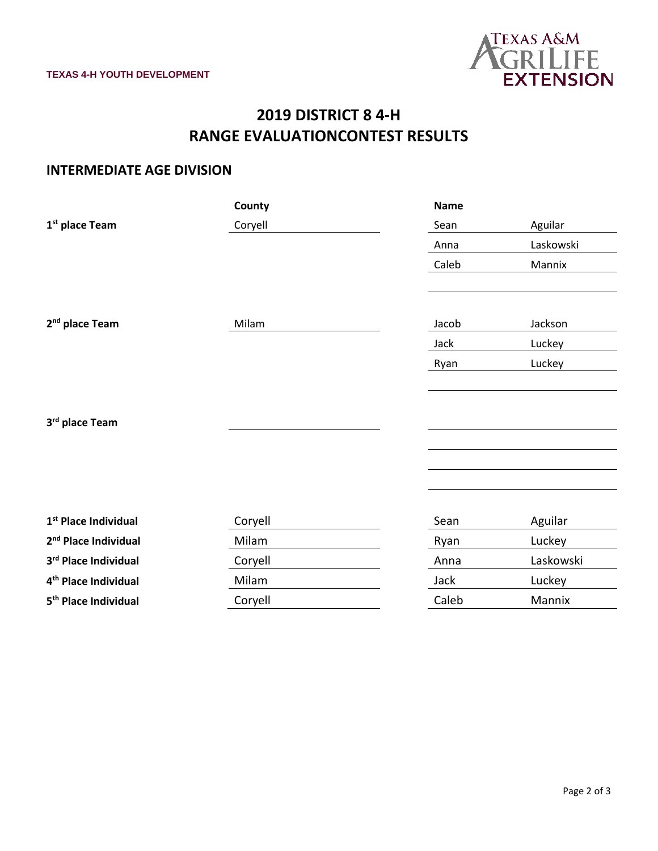

# **2019 DISTRICT 8 4-H RANGE EVALUATIONCONTEST RESULTS**

### **INTERMEDIATE AGE DIVISION**

|                                  | County  | <b>Name</b> |           |
|----------------------------------|---------|-------------|-----------|
| 1 <sup>st</sup> place Team       | Coryell | Sean        | Aguilar   |
|                                  |         | Anna        | Laskowski |
|                                  |         | Caleb       | Mannix    |
|                                  |         |             |           |
|                                  |         |             |           |
| 2 <sup>nd</sup> place Team       | Milam   | Jacob       | Jackson   |
|                                  |         | Jack        | Luckey    |
|                                  |         | Ryan        | Luckey    |
|                                  |         |             |           |
|                                  |         |             |           |
| 3rd place Team                   |         |             |           |
|                                  |         |             |           |
|                                  |         |             |           |
|                                  |         |             |           |
|                                  |         |             |           |
| 1 <sup>st</sup> Place Individual | Coryell | Sean        | Aguilar   |
| 2 <sup>nd</sup> Place Individual | Milam   | Ryan        | Luckey    |
| 3rd Place Individual             | Coryell | Anna        | Laskowski |
| 4 <sup>th</sup> Place Individual | Milam   | Jack        | Luckey    |
| 5 <sup>th</sup> Place Individual | Coryell | Caleb       | Mannix    |
|                                  |         |             |           |